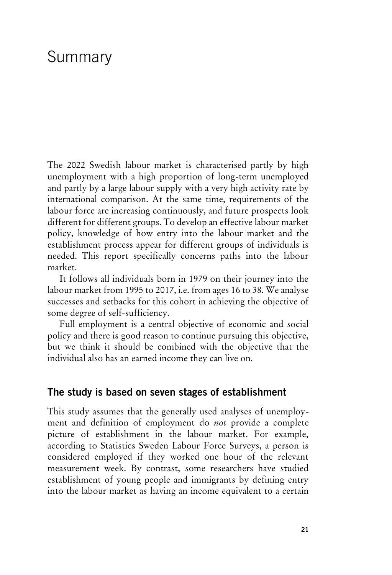# Summary

The 2022 Swedish labour market is characterised partly by high unemployment with a high proportion of long-term unemployed and partly by a large labour supply with a very high activity rate by international comparison. At the same time, requirements of the labour force are increasing continuously, and future prospects look different for different groups. To develop an effective labour market policy, knowledge of how entry into the labour market and the establishment process appear for different groups of individuals is needed. This report specifically concerns paths into the labour market.

It follows all individuals born in 1979 on their journey into the labour market from 1995 to 2017, i.e. from ages 16 to 38. We analyse successes and setbacks for this cohort in achieving the objective of some degree of self-sufficiency.

Full employment is a central objective of economic and social policy and there is good reason to continue pursuing this objective, but we think it should be combined with the objective that the individual also has an earned income they can live on.

## **The study is based on seven stages of establishment**

This study assumes that the generally used analyses of unemployment and definition of employment do *not* provide a complete picture of establishment in the labour market. For example, according to Statistics Sweden Labour Force Surveys, a person is considered employed if they worked one hour of the relevant measurement week. By contrast, some researchers have studied establishment of young people and immigrants by defining entry into the labour market as having an income equivalent to a certain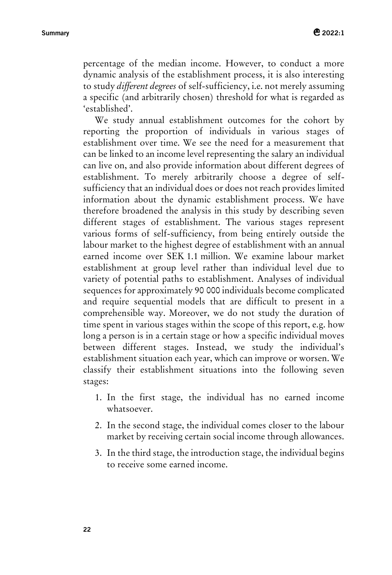percentage of the median income. However, to conduct a more dynamic analysis of the establishment process, it is also interesting to study *different degrees* of self-sufficiency, i.e. not merely assuming a specific (and arbitrarily chosen) threshold for what is regarded as 'established'.

We study annual establishment outcomes for the cohort by reporting the proportion of individuals in various stages of establishment over time. We see the need for a measurement that can be linked to an income level representing the salary an individual can live on, and also provide information about different degrees of establishment. To merely arbitrarily choose a degree of selfsufficiency that an individual does or does not reach provides limited information about the dynamic establishment process. We have therefore broadened the analysis in this study by describing seven different stages of establishment. The various stages represent various forms of self-sufficiency, from being entirely outside the labour market to the highest degree of establishment with an annual earned income over SEK 1.1 million. We examine labour market establishment at group level rather than individual level due to variety of potential paths to establishment. Analyses of individual sequences for approximately 90 000 individuals become complicated and require sequential models that are difficult to present in a comprehensible way. Moreover, we do not study the duration of time spent in various stages within the scope of this report, e.g. how long a person is in a certain stage or how a specific individual moves between different stages. Instead, we study the individual's establishment situation each year, which can improve or worsen. We classify their establishment situations into the following seven stages:

- 1. In the first stage, the individual has no earned income whatsoever.
- 2. In the second stage, the individual comes closer to the labour market by receiving certain social income through allowances.
- 3. In the third stage, the introduction stage, the individual begins to receive some earned income.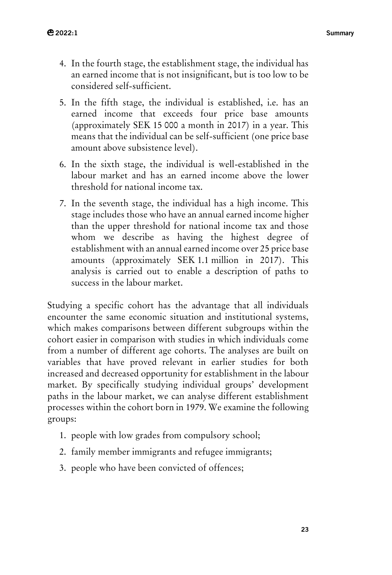- 4. In the fourth stage, the establishment stage, the individual has an earned income that is not insignificant, but is too low to be considered self-sufficient.
- 5. In the fifth stage, the individual is established, i.e. has an earned income that exceeds four price base amounts (approximately SEK 15 000 a month in 2017) in a year. This means that the individual can be self-sufficient (one price base amount above subsistence level).
- 6. In the sixth stage, the individual is well-established in the labour market and has an earned income above the lower threshold for national income tax.
- 7. In the seventh stage, the individual has a high income. This stage includes those who have an annual earned income higher than the upper threshold for national income tax and those whom we describe as having the highest degree of establishment with an annual earned income over 25 price base amounts (approximately SEK 1.1 million in 2017). This analysis is carried out to enable a description of paths to success in the labour market.

Studying a specific cohort has the advantage that all individuals encounter the same economic situation and institutional systems, which makes comparisons between different subgroups within the cohort easier in comparison with studies in which individuals come from a number of different age cohorts. The analyses are built on variables that have proved relevant in earlier studies for both increased and decreased opportunity for establishment in the labour market. By specifically studying individual groups' development paths in the labour market, we can analyse different establishment processes within the cohort born in 1979. We examine the following groups:

- 1. people with low grades from compulsory school;
- 2. family member immigrants and refugee immigrants;
- 3. people who have been convicted of offences;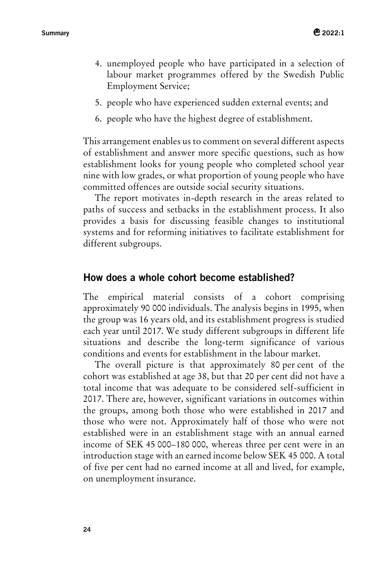- 4. unemployed people who have participated in a selection of labour market programmes offered by the Swedish Public Employment Service;
- 5. people who have experienced sudden external events; and
- 6. people who have the highest degree of establishment.

This arrangement enables us to comment on several different aspects of establishment and answer more specific questions, such as how establishment looks for young people who completed school year nine with low grades, or what proportion of young people who have committed offences are outside social security situations.

The report motivates in-depth research in the areas related to paths of success and setbacks in the establishment process. It also provides a basis for discussing feasible changes to institutional systems and for reforming initiatives to facilitate establishment for different subgroups.

## **How does a whole cohort become established?**

The empirical material consists of a cohort comprising approximately 90 000 individuals. The analysis begins in 1995, when the group was 16 years old, and its establishment progress is studied each year until 2017. We study different subgroups in different life situations and describe the long-term significance of various conditions and events for establishment in the labour market.

The overall picture is that approximately 80 per cent of the cohort was established at age 38, but that 20 per cent did not have a total income that was adequate to be considered self-sufficient in 2017. There are, however, significant variations in outcomes within the groups, among both those who were established in 2017 and those who were not. Approximately half of those who were not established were in an establishment stage with an annual earned income of SEK 45 000–180 000, whereas three per cent were in an introduction stage with an earned income below SEK 45 000. A total of five per cent had no earned income at all and lived, for example, on unemployment insurance.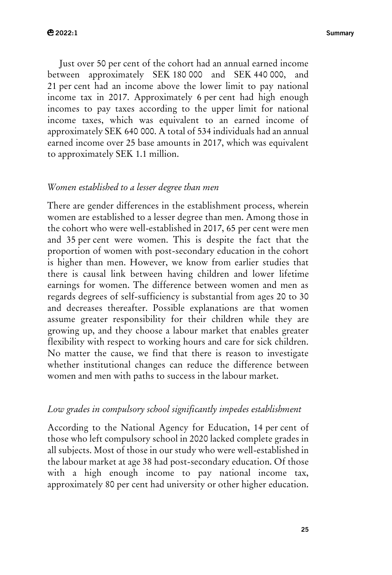Just over 50 per cent of the cohort had an annual earned income between approximately SEK 180 000 and SEK 440 000, and 21 per cent had an income above the lower limit to pay national income tax in 2017. Approximately 6 per cent had high enough incomes to pay taxes according to the upper limit for national income taxes, which was equivalent to an earned income of approximately SEK 640 000. A total of 534 individuals had an annual earned income over 25 base amounts in 2017, which was equivalent to approximately SEK 1.1 million.

#### *Women established to a lesser degree than men*

There are gender differences in the establishment process, wherein women are established to a lesser degree than men. Among those in the cohort who were well-established in 2017, 65 per cent were men and 35 per cent were women. This is despite the fact that the proportion of women with post-secondary education in the cohort is higher than men. However, we know from earlier studies that there is causal link between having children and lower lifetime earnings for women. The difference between women and men as regards degrees of self-sufficiency is substantial from ages 20 to 30 and decreases thereafter. Possible explanations are that women assume greater responsibility for their children while they are growing up, and they choose a labour market that enables greater flexibility with respect to working hours and care for sick children. No matter the cause, we find that there is reason to investigate whether institutional changes can reduce the difference between women and men with paths to success in the labour market.

#### *Low grades in compulsory school significantly impedes establishment*

According to the National Agency for Education, 14 per cent of those who left compulsory school in 2020 lacked complete grades in all subjects. Most of those in our study who were well-established in the labour market at age 38 had post-secondary education. Of those with a high enough income to pay national income tax, approximately 80 per cent had university or other higher education.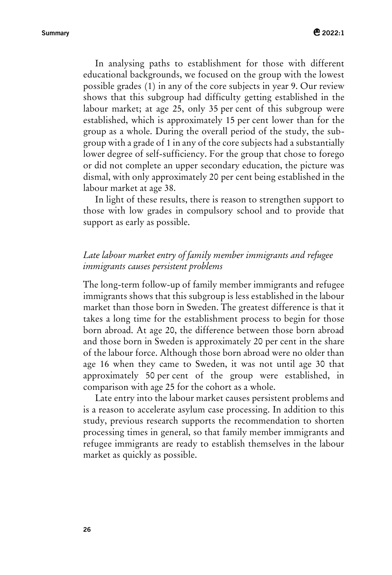In analysing paths to establishment for those with different educational backgrounds, we focused on the group with the lowest possible grades (1) in any of the core subjects in year 9. Our review shows that this subgroup had difficulty getting established in the labour market; at age 25, only 35 per cent of this subgroup were established, which is approximately 15 per cent lower than for the group as a whole. During the overall period of the study, the subgroup with a grade of 1 in any of the core subjects had a substantially lower degree of self-sufficiency. For the group that chose to forego or did not complete an upper secondary education, the picture was dismal, with only approximately 20 per cent being established in the labour market at age 38.

In light of these results, there is reason to strengthen support to those with low grades in compulsory school and to provide that support as early as possible.

## *Late labour market entry of family member immigrants and refugee immigrants causes persistent problems*

The long-term follow-up of family member immigrants and refugee immigrants shows that this subgroup is less established in the labour market than those born in Sweden. The greatest difference is that it takes a long time for the establishment process to begin for those born abroad. At age 20, the difference between those born abroad and those born in Sweden is approximately 20 per cent in the share of the labour force. Although those born abroad were no older than age 16 when they came to Sweden, it was not until age 30 that approximately 50 per cent of the group were established, in comparison with age 25 for the cohort as a whole.

Late entry into the labour market causes persistent problems and is a reason to accelerate asylum case processing. In addition to this study, previous research supports the recommendation to shorten processing times in general, so that family member immigrants and refugee immigrants are ready to establish themselves in the labour market as quickly as possible.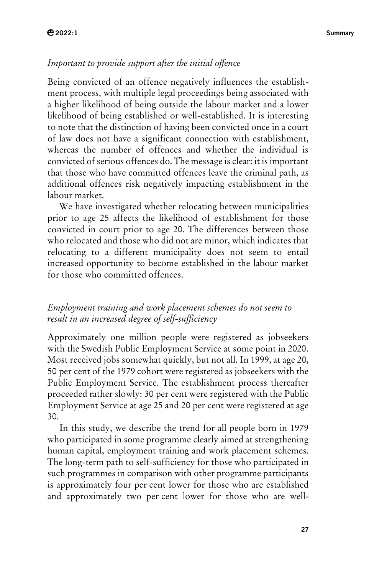## *Important to provide support after the initial offence*

Being convicted of an offence negatively influences the establishment process, with multiple legal proceedings being associated with a higher likelihood of being outside the labour market and a lower likelihood of being established or well-established. It is interesting to note that the distinction of having been convicted once in a court of law does not have a significant connection with establishment, whereas the number of offences and whether the individual is convicted of serious offences do. The message is clear: it is important that those who have committed offences leave the criminal path, as additional offences risk negatively impacting establishment in the labour market.

We have investigated whether relocating between municipalities prior to age 25 affects the likelihood of establishment for those convicted in court prior to age 20. The differences between those who relocated and those who did not are minor, which indicates that relocating to a different municipality does not seem to entail increased opportunity to become established in the labour market for those who committed offences.

## *Employment training and work placement schemes do not seem to result in an increased degree of self-sufficiency*

Approximately one million people were registered as jobseekers with the Swedish Public Employment Service at some point in 2020. Most received jobs somewhat quickly, but not all. In 1999, at age 20, 50 per cent of the 1979 cohort were registered as jobseekers with the Public Employment Service. The establishment process thereafter proceeded rather slowly: 30 per cent were registered with the Public Employment Service at age 25 and 20 per cent were registered at age 30.

In this study, we describe the trend for all people born in 1979 who participated in some programme clearly aimed at strengthening human capital, employment training and work placement schemes. The long-term path to self-sufficiency for those who participated in such programmes in comparison with other programme participants is approximately four per cent lower for those who are established and approximately two per cent lower for those who are well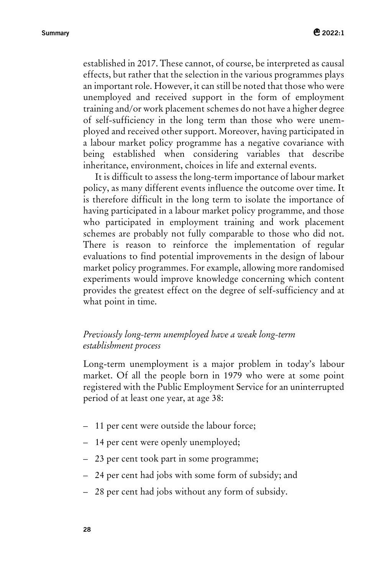established in 2017. These cannot, of course, be interpreted as causal effects, but rather that the selection in the various programmes plays an important role. However, it can still be noted that those who were unemployed and received support in the form of employment training and/or work placement schemes do not have a higher degree of self-sufficiency in the long term than those who were unemployed and received other support. Moreover, having participated in a labour market policy programme has a negative covariance with being established when considering variables that describe inheritance, environment, choices in life and external events.

It is difficult to assess the long-term importance of labour market policy, as many different events influence the outcome over time. It is therefore difficult in the long term to isolate the importance of having participated in a labour market policy programme, and those who participated in employment training and work placement schemes are probably not fully comparable to those who did not. There is reason to reinforce the implementation of regular evaluations to find potential improvements in the design of labour market policy programmes. For example, allowing more randomised experiments would improve knowledge concerning which content provides the greatest effect on the degree of self-sufficiency and at what point in time.

## *Previously long-term unemployed have a weak long-term establishment process*

Long-term unemployment is a major problem in today's labour market. Of all the people born in 1979 who were at some point registered with the Public Employment Service for an uninterrupted period of at least one year, at age 38:

- 11 per cent were outside the labour force;
- 14 per cent were openly unemployed;
- 23 per cent took part in some programme;
- 24 per cent had jobs with some form of subsidy; and
- 28 per cent had jobs without any form of subsidy.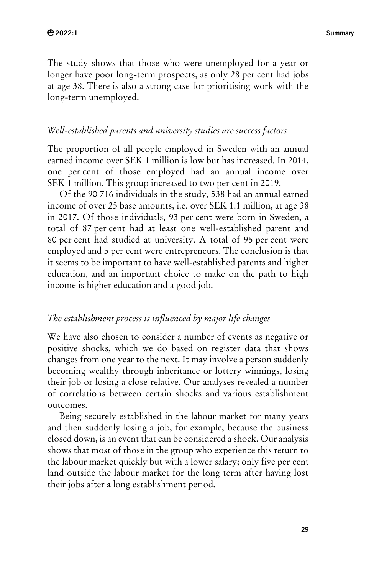The study shows that those who were unemployed for a year or longer have poor long-term prospects, as only 28 per cent had jobs at age 38. There is also a strong case for prioritising work with the long-term unemployed.

#### *Well-established parents and university studies are success factors*

The proportion of all people employed in Sweden with an annual earned income over SEK 1 million is low but has increased. In 2014, one per cent of those employed had an annual income over SEK 1 million. This group increased to two per cent in 2019.

Of the 90 716 individuals in the study, 538 had an annual earned income of over 25 base amounts, i.e. over SEK 1.1 million, at age 38 in 2017. Of those individuals, 93 per cent were born in Sweden, a total of 87 per cent had at least one well-established parent and 80 per cent had studied at university. A total of 95 per cent were employed and 5 per cent were entrepreneurs. The conclusion is that it seems to be important to have well-established parents and higher education, and an important choice to make on the path to high income is higher education and a good job.

#### *The establishment process is influenced by major life changes*

We have also chosen to consider a number of events as negative or positive shocks, which we do based on register data that shows changes from one year to the next. It may involve a person suddenly becoming wealthy through inheritance or lottery winnings, losing their job or losing a close relative. Our analyses revealed a number of correlations between certain shocks and various establishment outcomes.

Being securely established in the labour market for many years and then suddenly losing a job, for example, because the business closed down, is an event that can be considered a shock. Our analysis shows that most of those in the group who experience this return to the labour market quickly but with a lower salary; only five per cent land outside the labour market for the long term after having lost their jobs after a long establishment period.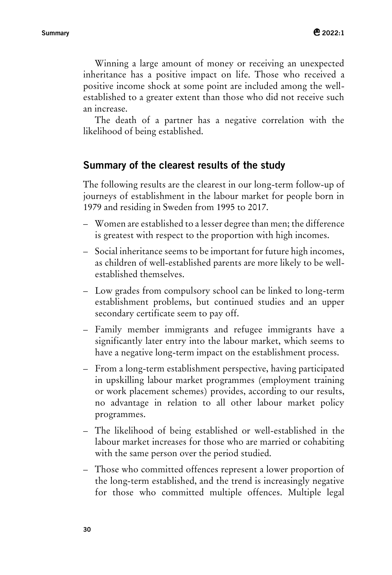Winning a large amount of money or receiving an unexpected inheritance has a positive impact on life. Those who received a positive income shock at some point are included among the wellestablished to a greater extent than those who did not receive such an increase.

The death of a partner has a negative correlation with the likelihood of being established.

## **Summary of the clearest results of the study**

The following results are the clearest in our long-term follow-up of journeys of establishment in the labour market for people born in 1979 and residing in Sweden from 1995 to 2017.

- Women are established to a lesser degree than men; the difference is greatest with respect to the proportion with high incomes.
- Social inheritance seems to be important for future high incomes, as children of well-established parents are more likely to be wellestablished themselves.
- Low grades from compulsory school can be linked to long-term establishment problems, but continued studies and an upper secondary certificate seem to pay off.
- Family member immigrants and refugee immigrants have a significantly later entry into the labour market, which seems to have a negative long-term impact on the establishment process.
- From a long-term establishment perspective, having participated in upskilling labour market programmes (employment training or work placement schemes) provides, according to our results, no advantage in relation to all other labour market policy programmes.
- The likelihood of being established or well-established in the labour market increases for those who are married or cohabiting with the same person over the period studied.
- Those who committed offences represent a lower proportion of the long-term established, and the trend is increasingly negative for those who committed multiple offences. Multiple legal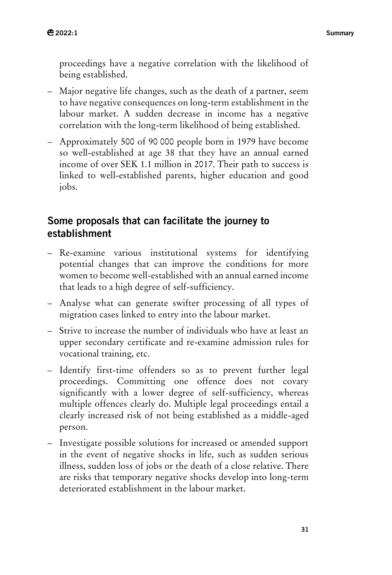proceedings have a negative correlation with the likelihood of being established.

- Major negative life changes, such as the death of a partner, seem to have negative consequences on long-term establishment in the labour market. A sudden decrease in income has a negative correlation with the long-term likelihood of being established.
- Approximately 500 of 90 000 people born in 1979 have become so well-established at age 38 that they have an annual earned income of over SEK 1.1 million in 2017. Their path to success is linked to well-established parents, higher education and good jobs.

## **Some proposals that can facilitate the journey to establishment**

- Re-examine various institutional systems for identifying potential changes that can improve the conditions for more women to become well-established with an annual earned income that leads to a high degree of self-sufficiency.
- Analyse what can generate swifter processing of all types of migration cases linked to entry into the labour market.
- Strive to increase the number of individuals who have at least an upper secondary certificate and re-examine admission rules for vocational training, etc.
- Identify first-time offenders so as to prevent further legal proceedings. Committing one offence does not covary significantly with a lower degree of self-sufficiency, whereas multiple offences clearly do. Multiple legal proceedings entail a clearly increased risk of not being established as a middle-aged person.
- Investigate possible solutions for increased or amended support in the event of negative shocks in life, such as sudden serious illness, sudden loss of jobs or the death of a close relative. There are risks that temporary negative shocks develop into long-term deteriorated establishment in the labour market.